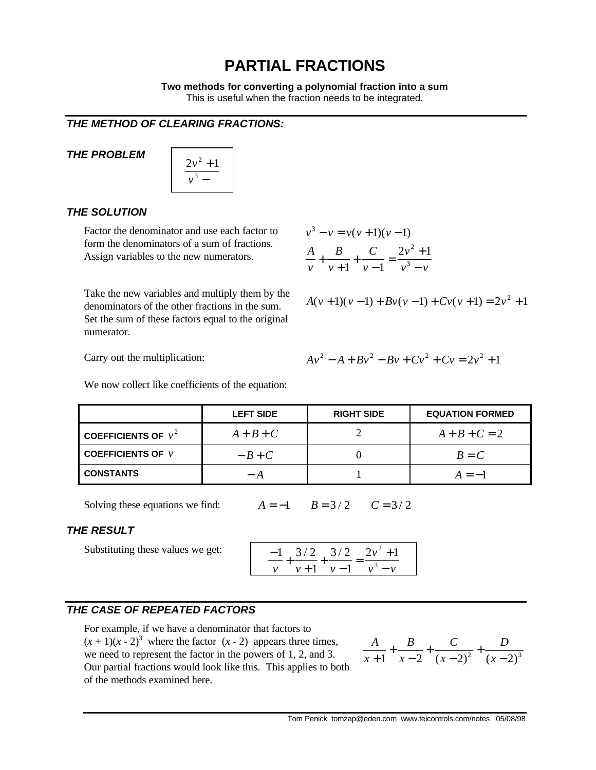# **PARTIAL FRACTIONS**

**Two methods for converting a polynomial fraction into a sum** This is useful when the fraction needs to be integrated.

## *THE METHOD OF CLEARING FRACTIONS:*

## *THE PROBLEM*

| $2v^2 +$ |  |
|----------|--|
| $v^3$    |  |

## *THE SOLUTION*

Factor the denominator and use each factor to form the denominators of a sum of fractions. Assign variables to the new numerators.

Take the new variables and multiply them by the denominators of the other fractions in the sum. Set the sum of these factors equal to the original numerator.

$$
v3 - v = v(v + 1)(v - 1)
$$
  

$$
\frac{A}{v} + \frac{B}{v + 1} + \frac{C}{v - 1} = \frac{2v2 + 1}{v3 - v}
$$

$$
A(v+1)(v-1) + Bv(v-1) + Cv(v+1) = 2v^2 + 1
$$

Carry out the multiplication:

$$
Av^{2} - A + Bv^{2} - Bv + Cv^{2} + Cv = 2v^{2} + 1
$$

We now collect like coefficients of the equation:

|                                         | <b>LEFT SIDE</b> | <b>RIGHT SIDE</b> | <b>EQUATION FORMED</b> |
|-----------------------------------------|------------------|-------------------|------------------------|
| COEFFICIENTS OF $v^2$                   | $A+B+C$          |                   | $A + B + C = 2$        |
| <b>COEFFICIENTS OF <math>\nu</math></b> | $-B+C$           |                   | $B = C$                |
| <b>CONSTANTS</b>                        |                  |                   | $A=-1$                 |

Solving these equations we find:  $A = -1$   $B = 3/2$   $C = 3/2$ 

## *THE RESULT*

Substituting these values we get:

$$
\frac{-1}{v} + \frac{3/2}{v+1} + \frac{3/2}{v-1} = \frac{2v^2+1}{v^3-v}
$$

# *THE CASE OF REPEATED FACTORS*

For example, if we have a denominator that factors to  $(x + 1)(x - 2)^3$  where the factor  $(x - 2)$  appears three times, we need to represent the factor in the powers of 1, 2, and 3. Our partial fractions would look like this. This applies to both of the methods examined here.

$$
\frac{A}{x+1} + \frac{B}{x-2} + \frac{C}{(x-2)^2} + \frac{D}{(x-2)^3}
$$